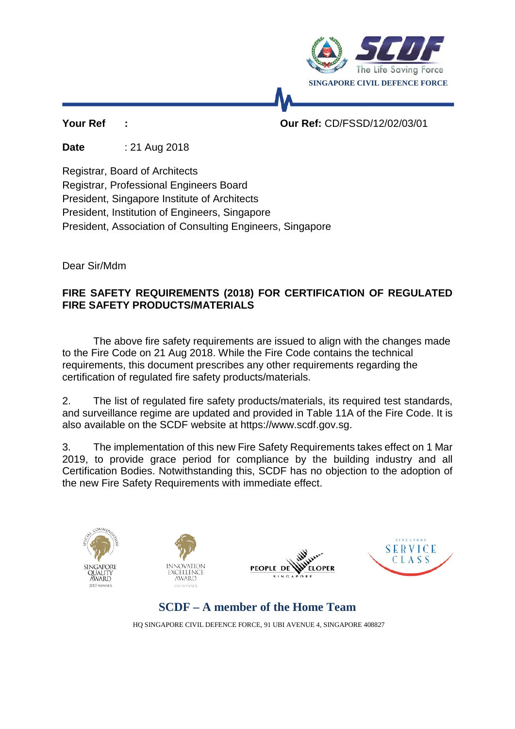

**Your Ref : Our Ref:** CD/FSSD/12/02/03/01

**Date** : 21 Aug 2018

Registrar, Board of Architects

Registrar, Professional Engineers Board

President, Singapore Institute of Architects

President, Institution of Engineers, Singapore

President, Association of Consulting Engineers, Singapore

Dear Sir/Mdm

# **FIRE SAFETY REQUIREMENTS (2018) FOR CERTIFICATION OF REGULATED FIRE SAFETY PRODUCTS/MATERIALS**

The above fire safety requirements are issued to align with the changes made to the Fire Code on 21 Aug 2018. While the Fire Code contains the technical requirements, this document prescribes any other requirements regarding the certification of regulated fire safety products/materials.

2. The list of regulated fire safety products/materials, its required test standards, and surveillance regime are updated and provided in Table 11A of the Fire Code. It is also available on the SCDF website at https://www.scdf.gov.sg.

3. The implementation of this new Fire Safety Requirements takes effect on 1 Mar 2019, to provide grace period for compliance by the building industry and all Certification Bodies. Notwithstanding this, SCDF has no objection to the adoption of the new Fire Safety Requirements with immediate effect.









**SCDF – A member of the Home Team**

HQ SINGAPORE CIVIL DEFENCE FORCE, 91 UBI AVENUE 4, SINGAPORE 408827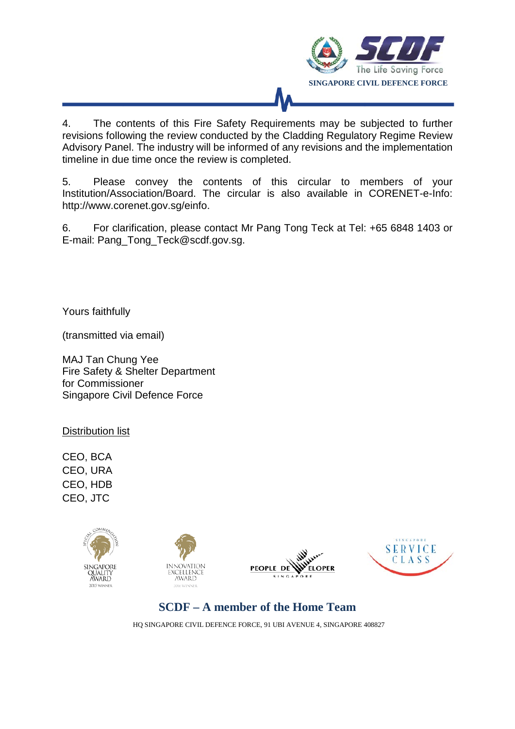

4. The contents of this Fire Safety Requirements may be subjected to further revisions following the review conducted by the Cladding Regulatory Regime Review Advisory Panel. The industry will be informed of any revisions and the implementation timeline in due time once the review is completed.

5. Please convey the contents of this circular to members of your Institution/Association/Board. The circular is also available in CORENET-e-Info: http://www.corenet.gov.sg/einfo.

6. For clarification, please contact Mr Pang Tong Teck at Tel: +65 6848 1403 or E-mail: Pang\_Tong\_Teck@scdf.gov.sg.

Yours faithfully

(transmitted via email)

MAJ Tan Chung Yee Fire Safety & Shelter Department for Commissioner Singapore Civil Defence Force

Distribution list

CEO, BCA CEO, URA CEO, HDB CEO, JTC









**SCDF – A member of the Home Team**

HQ SINGAPORE CIVIL DEFENCE FORCE, 91 UBI AVENUE 4, SINGAPORE 408827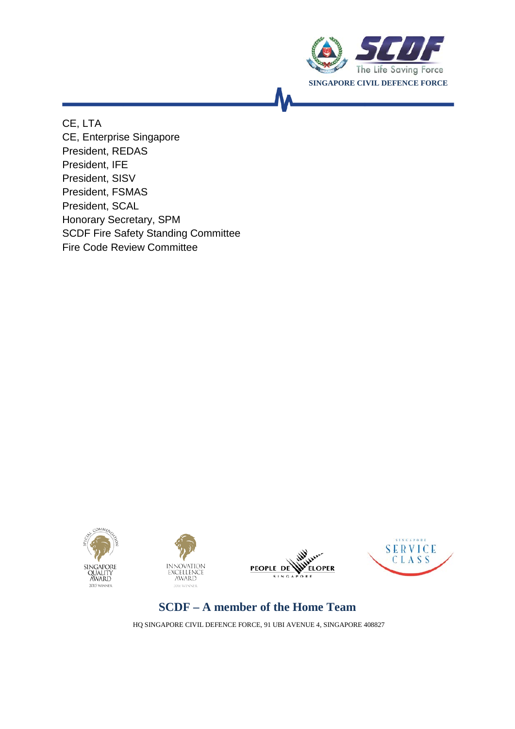

CE, LTA CE, Enterprise Singapore President, REDAS President, IFE President, SISV President, FSMAS President, SCAL Honorary Secretary, SPM SCDF Fire Safety Standing Committee Fire Code Review Committee









# **SCDF – A member of the Home Team**

HQ SINGAPORE CIVIL DEFENCE FORCE, 91 UBI AVENUE 4, SINGAPORE 408827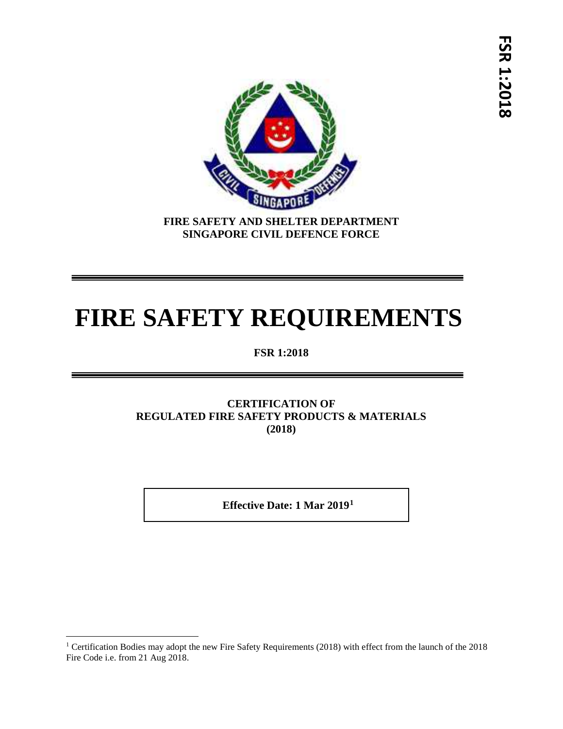

**FIRE SAFETY AND SHELTER DEPARTMENT SINGAPORE CIVIL DEFENCE FORCE**

# **FIRE SAFETY REQUIREMENTS**

**FSR 1:2018**

# **CERTIFICATION OF REGULATED FIRE SAFETY PRODUCTS & MATERIALS (2018)**

 **Effective Date: 1 Mar 2019[1](#page-3-0)**

l

<span id="page-3-0"></span><sup>&</sup>lt;sup>1</sup> Certification Bodies may adopt the new Fire Safety Requirements (2018) with effect from the launch of the 2018 Fire Code i.e. from 21 Aug 2018.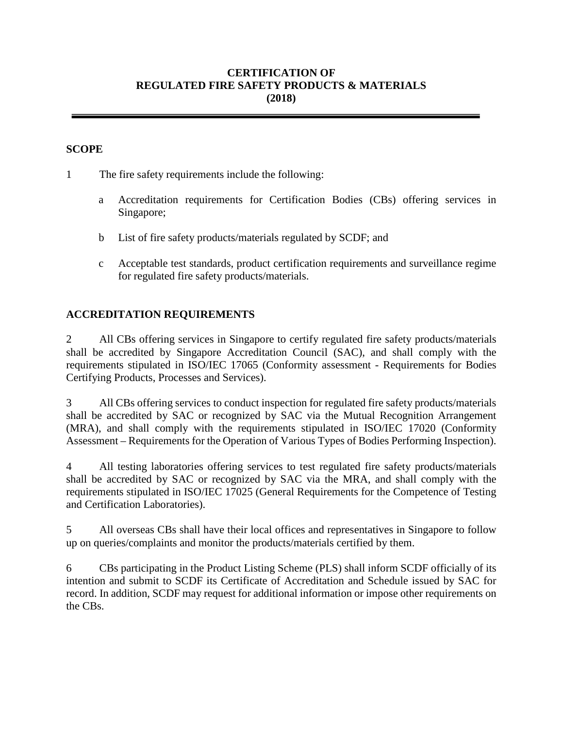#### **CERTIFICATION OF REGULATED FIRE SAFETY PRODUCTS & MATERIALS (2018)**

#### **SCOPE**

1 The fire safety requirements include the following:

- a Accreditation requirements for Certification Bodies (CBs) offering services in Singapore;
- b List of fire safety products/materials regulated by SCDF; and
- c Acceptable test standards, product certification requirements and surveillance regime for regulated fire safety products/materials.

#### **ACCREDITATION REQUIREMENTS**

2 All CBs offering services in Singapore to certify regulated fire safety products/materials shall be accredited by Singapore Accreditation Council (SAC), and shall comply with the requirements stipulated in ISO/IEC 17065 (Conformity assessment - Requirements for Bodies Certifying Products, Processes and Services).

3 All CBs offering services to conduct inspection for regulated fire safety products/materials shall be accredited by SAC or recognized by SAC via the Mutual Recognition Arrangement (MRA), and shall comply with the requirements stipulated in ISO/IEC 17020 (Conformity Assessment – Requirements for the Operation of Various Types of Bodies Performing Inspection).

4 All testing laboratories offering services to test regulated fire safety products/materials shall be accredited by SAC or recognized by SAC via the MRA, and shall comply with the requirements stipulated in ISO/IEC 17025 (General Requirements for the Competence of Testing and Certification Laboratories).

5 All overseas CBs shall have their local offices and representatives in Singapore to follow up on queries/complaints and monitor the products/materials certified by them.

6 CBs participating in the Product Listing Scheme (PLS) shall inform SCDF officially of its intention and submit to SCDF its Certificate of Accreditation and Schedule issued by SAC for record. In addition, SCDF may request for additional information or impose other requirements on the CBs.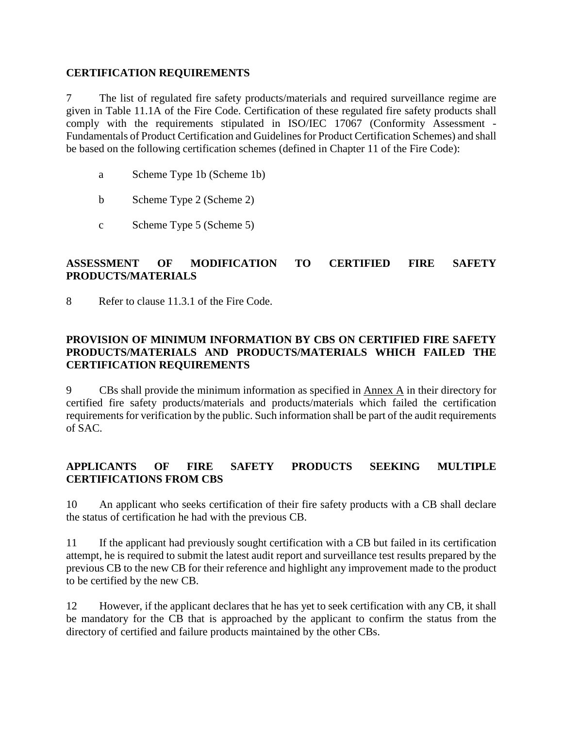#### **CERTIFICATION REQUIREMENTS**

7 The list of regulated fire safety products/materials and required surveillance regime are given in Table 11.1A of the Fire Code. Certification of these regulated fire safety products shall comply with the requirements stipulated in ISO/IEC 17067 (Conformity Assessment - Fundamentals of Product Certification and Guidelines for Product Certification Schemes) and shall be based on the following certification schemes (defined in Chapter 11 of the Fire Code):

- a Scheme Type 1b (Scheme 1b)
- b Scheme Type 2 (Scheme 2)
- c Scheme Type 5 (Scheme 5)

## **ASSESSMENT OF MODIFICATION TO CERTIFIED FIRE SAFETY PRODUCTS/MATERIALS**

8 Refer to clause 11.3.1 of the Fire Code.

## **PROVISION OF MINIMUM INFORMATION BY CBS ON CERTIFIED FIRE SAFETY PRODUCTS/MATERIALS AND PRODUCTS/MATERIALS WHICH FAILED THE CERTIFICATION REQUIREMENTS**

9 CBs shall provide the minimum information as specified in Annex A in their directory for certified fire safety products/materials and products/materials which failed the certification requirements for verification by the public. Such information shall be part of the audit requirements of SAC.

# **APPLICANTS OF FIRE SAFETY PRODUCTS SEEKING MULTIPLE CERTIFICATIONS FROM CBS**

10 An applicant who seeks certification of their fire safety products with a CB shall declare the status of certification he had with the previous CB.

11 If the applicant had previously sought certification with a CB but failed in its certification attempt, he is required to submit the latest audit report and surveillance test results prepared by the previous CB to the new CB for their reference and highlight any improvement made to the product to be certified by the new CB.

12 However, if the applicant declares that he has yet to seek certification with any CB, it shall be mandatory for the CB that is approached by the applicant to confirm the status from the directory of certified and failure products maintained by the other CBs.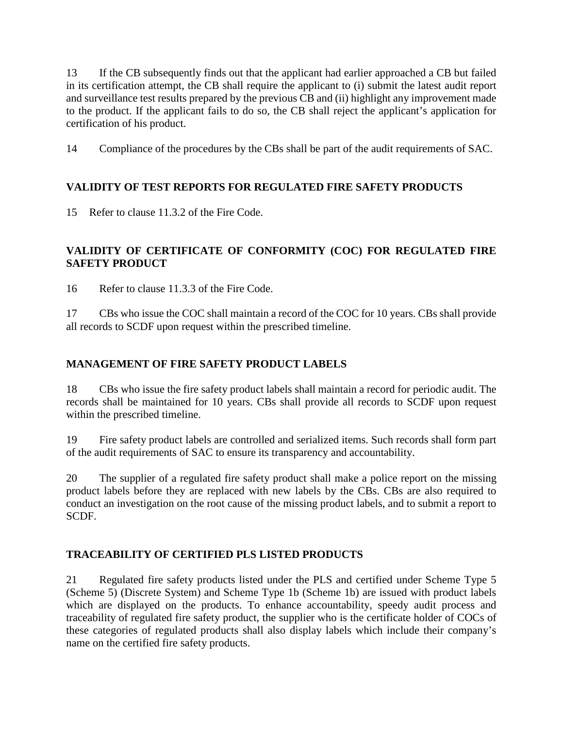13 If the CB subsequently finds out that the applicant had earlier approached a CB but failed in its certification attempt, the CB shall require the applicant to (i) submit the latest audit report and surveillance test results prepared by the previous CB and (ii) highlight any improvement made to the product. If the applicant fails to do so, the CB shall reject the applicant's application for certification of his product.

14 Compliance of the procedures by the CBs shall be part of the audit requirements of SAC.

# **VALIDITY OF TEST REPORTS FOR REGULATED FIRE SAFETY PRODUCTS**

15 Refer to clause 11.3.2 of the Fire Code.

# **VALIDITY OF CERTIFICATE OF CONFORMITY (COC) FOR REGULATED FIRE SAFETY PRODUCT**

16 Refer to clause 11.3.3 of the Fire Code.

17 CBs who issue the COC shall maintain a record of the COC for 10 years. CBs shall provide all records to SCDF upon request within the prescribed timeline.

# **MANAGEMENT OF FIRE SAFETY PRODUCT LABELS**

18 CBs who issue the fire safety product labels shall maintain a record for periodic audit. The records shall be maintained for 10 years. CBs shall provide all records to SCDF upon request within the prescribed timeline.

19 Fire safety product labels are controlled and serialized items. Such records shall form part of the audit requirements of SAC to ensure its transparency and accountability.

20 The supplier of a regulated fire safety product shall make a police report on the missing product labels before they are replaced with new labels by the CBs. CBs are also required to conduct an investigation on the root cause of the missing product labels, and to submit a report to SCDF.

#### **TRACEABILITY OF CERTIFIED PLS LISTED PRODUCTS**

21 Regulated fire safety products listed under the PLS and certified under Scheme Type 5 (Scheme 5) (Discrete System) and Scheme Type 1b (Scheme 1b) are issued with product labels which are displayed on the products. To enhance accountability, speedy audit process and traceability of regulated fire safety product, the supplier who is the certificate holder of COCs of these categories of regulated products shall also display labels which include their company's name on the certified fire safety products.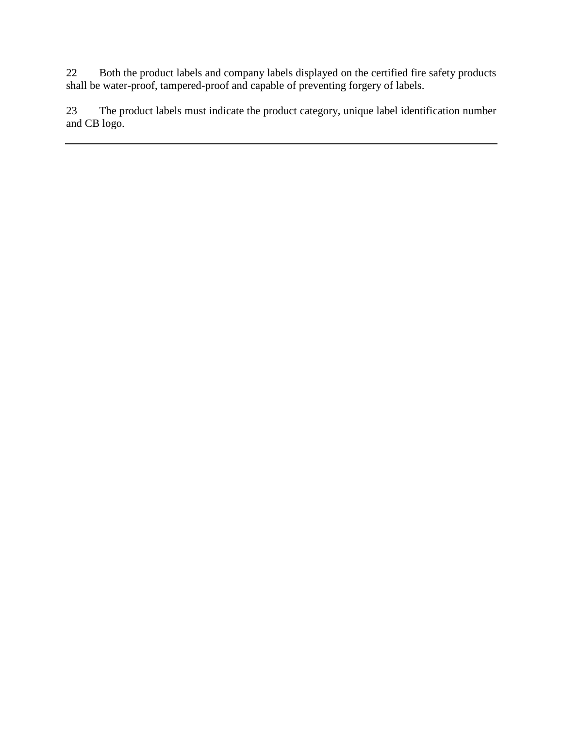22 Both the product labels and company labels displayed on the certified fire safety products shall be water-proof, tampered-proof and capable of preventing forgery of labels.

23 The product labels must indicate the product category, unique label identification number and CB logo.